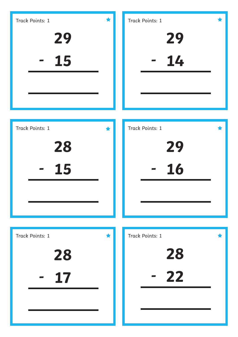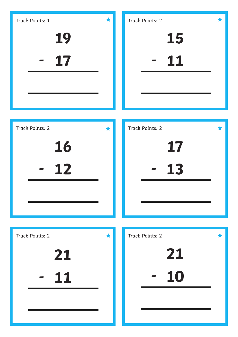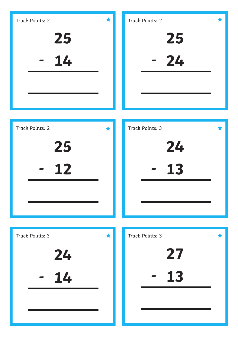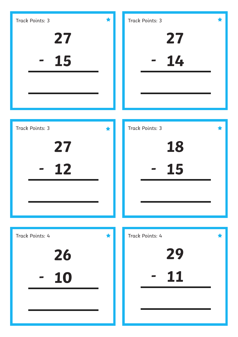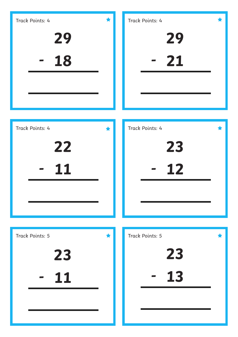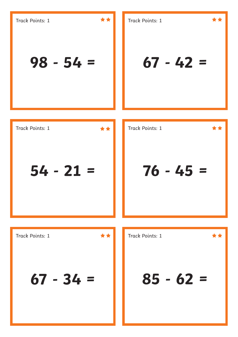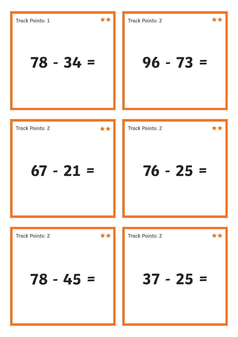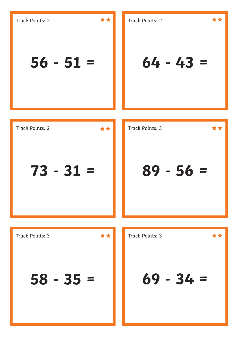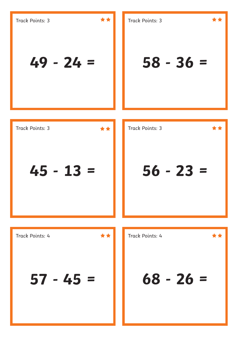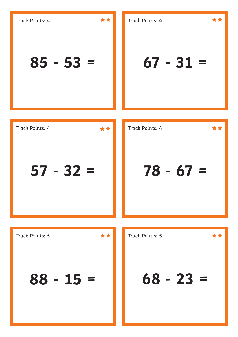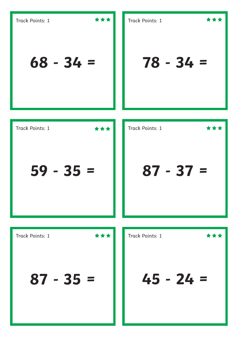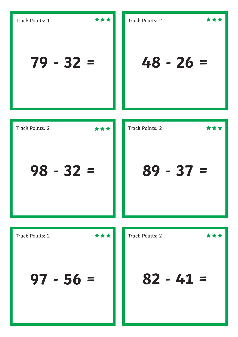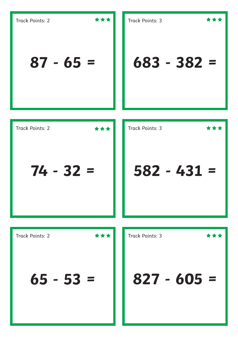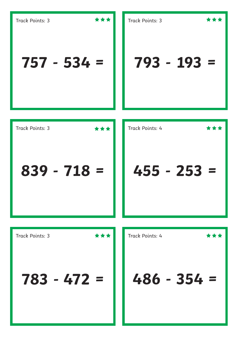